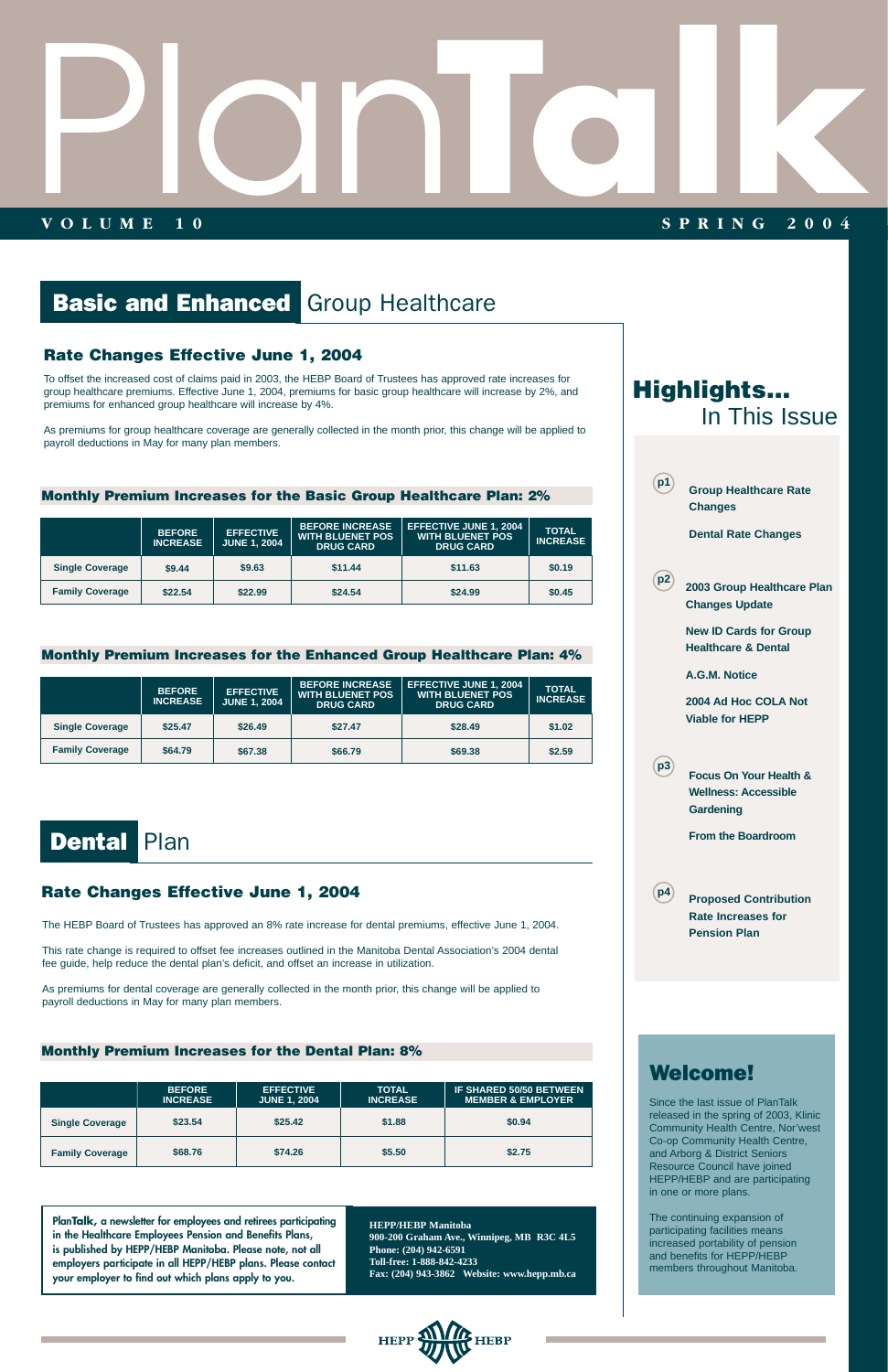# Plan

# **VOLUME 10 SPRING 2004 TALK SPRING 2004**

# **Basic and Enhanced Group Healthcare**

# **Rate Changes Effective June 1, 2004**

To offset the increased cost of claims paid in 2003, the HEBP Board of Trustees has approved rate increases for group healthcare premiums. Effective June 1, 2004, premiums for basic group healthcare will increase by 2%, and premiums for enhanced group healthcare will increase by 4%.

As premiums for group healthcare coverage are generally collected in the month prior, this change will be applied to payroll deductions in May for many plan members.

**PlanTalk, a newsletter for employees and retirees participating in the Healthcare Employees Pension and Benefits Plans, is published by HEPP/HEBP Manitoba. Please note, not all employers participate in all HEPP/HEBP plans. Please contact your employer to find out which plans apply to you.**

**HEPP/HEBP Manitoba**

**900-200 Graham Ave., Winnipeg, MB R3C 4L5 Phone: (204) 942-6591 Toll-free: 1-888-842-4233 Fax: (204) 943-3862 Website: www.hepp.mb.ca** 

|                        | <b>BEFORE</b><br><b>INCREASE</b> | <b>EFFECTIVE</b><br>JUNE 1, 2004 | <b>BEFORE INCREASE</b><br><b>WITH BLUENET POS</b><br><b>DRUG CARD</b> | <b>EFFECTIVE JUNE 1, 2004</b><br><b>WITH BLUENET POS</b><br><b>DRUG CARD</b> | <b>TOTAL</b><br><b>INCREASE</b> |
|------------------------|----------------------------------|----------------------------------|-----------------------------------------------------------------------|------------------------------------------------------------------------------|---------------------------------|
| <b>Single Coverage</b> | \$9.44                           | \$9.63                           | \$11.44                                                               | \$11.63                                                                      | \$0.19                          |
| <b>Family Coverage</b> | \$22.54                          | \$22.99                          | \$24.54                                                               | \$24.99                                                                      | \$0.45                          |

#### **Monthly Premium Increases for the Basic Group Healthcare Plan: 2%**

|                        | <b>BEFORE</b><br><b>INCREASE</b> | <b>EFFECTIVE</b><br><b>JUNE 1, 2004</b> | <b>BEFORE INCREASE</b><br><b>WITH BLUENET POS</b><br><b>DRUG CARD</b> | <b>EFFECTIVE JUNE 1, 2004</b><br><b>WITH BLUENET POS</b><br><b>DRUG CARD</b> | <b>TOTAL</b><br><b>INCREASE</b> |
|------------------------|----------------------------------|-----------------------------------------|-----------------------------------------------------------------------|------------------------------------------------------------------------------|---------------------------------|
| <b>Single Coverage</b> | \$25.47                          | \$26.49                                 | \$27.47                                                               | \$28.49                                                                      | \$1.02                          |
| <b>Family Coverage</b> | \$64.79                          | \$67.38                                 | \$66,79                                                               | \$69.38                                                                      | \$2.59                          |

# Dental Plan

#### **Monthly Premium Increases for the Enhanced Group Healthcare Plan: 4%**

# Welcome!



Since the last issue of PlanTalk released in the spring of 2003, Klinic Community Health Centre, Nor'west Co-op Community Health Centre, and Arborg & District Seniors Resource Council have joined HEPP/HEBP and are participating in one or more plans.

The continuing expansion of participating facilities means increased portability of pension and benefits for HEPP/HEBP members throughout Manitoba.



The HEBP Board of Trustees has approved an 8% rate increase for dental premiums, effective June 1, 2004.

This rate change is required to offset fee increases outlined in the Manitoba Dental Association's 2004 dental fee guide, help reduce the dental plan's deficit, and offset an increase in utilization.

As premiums for dental coverage are generally collected in the month prior, this change will be applied to payroll deductions in May for many plan members.

# **Rate Changes Effective June 1, 2004**

|                        | <b>BEFORE</b><br><b>INCREASE</b> | <b>EFFECTIVE</b><br><b>JUNE 1, 2004</b> | <b>TOTAL</b><br><b>INCREASE</b> | <b>IF SHARED 50/50 BETWEEN</b><br><b>MEMBER &amp; EMPLOYER</b> |
|------------------------|----------------------------------|-----------------------------------------|---------------------------------|----------------------------------------------------------------|
| <b>Single Coverage</b> | \$23.54                          | \$25.42                                 | \$1.88                          | \$0.94                                                         |
| <b>Family Coverage</b> | \$68.76                          | \$74.26                                 | \$5.50                          | \$2.75                                                         |

#### **Monthly Premium Increases for the Dental Plan: 8%**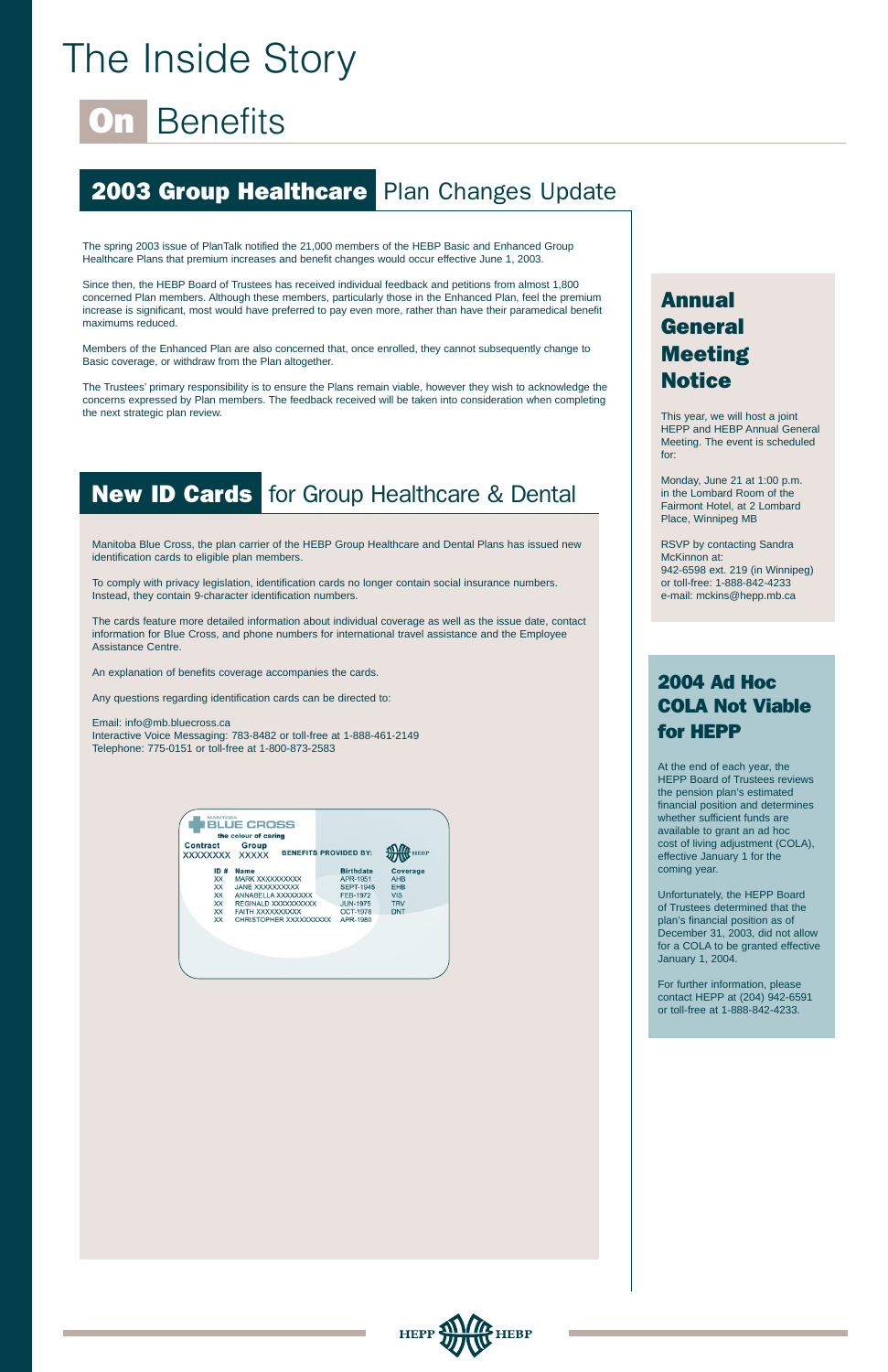# The Inside Story

# **On Benefits**

# **2003 Group Healthcare Plan Changes Update**

Manitoba Blue Cross, the plan carrier of the HEBP Group Healthcare and Dental Plans has issued new identification cards to eligible plan members.

To comply with privacy legislation, identification cards no longer contain social insurance numbers. Instead, they contain 9-character identification numbers.

The cards feature more detailed information about individual coverage as well as the issue date, contact information for Blue Cross, and phone numbers for international travel assistance and the Employee Assistance Centre.

An explanation of benefits coverage accompanies the cards.

Any questions regarding identification cards can be directed to:

Email: info@mb.bluecross.ca Interactive Voice Messaging: 783-8482 or toll-free at 1-888-461-2149 Telephone: 775-0151 or toll-free at 1-800-873-2583

|                                    | the colour of caring   |                              |             |
|------------------------------------|------------------------|------------------------------|-------------|
| <b>Contract</b><br><b>XXXXXXXX</b> | Group<br><b>XXXXX</b>  | <b>BENEFITS PROVIDED BY:</b> | <b>HEBP</b> |
| ID#                                | <b>Name</b>            | <b>Birthdate</b>             | Coverage    |
| <b>XX</b>                          | <b>MARK XXXXXXXXXX</b> | APR-1951                     | <b>AHB</b>  |
| XX                                 | <b>JANE XXXXXXXXXX</b> | <b>SEPT-1945</b>             | <b>EHB</b>  |
| <b>XX</b>                          | ANNABELLA XXXXXXXX     | <b>FEB-1972</b>              | <b>VIS</b>  |
| <b>XX</b>                          | REGINALD XXXXXXXXXX    | <b>JUN-1975</b>              | <b>TRV</b>  |
| <b>XX</b>                          | FAITH XXXXXXXXXX       | <b>OCT-1978</b>              | <b>DNT</b>  |
| XX                                 | CHRISTOPHER XXXXXXXXXX | APR-1980                     |             |

# 2004 Ad Hoc COLA Not Viable for HEPP

At the end of each year, the HEPP Board of Trustees reviews the pension plan's estimated financial position and determines whether sufficient funds are available to grant an ad hoc cost of living adjustment (COLA), effective January 1 for the coming year.

# Annual General Meeting **Notice**

Unfortunately, the HEPP Board of Trustees determined that the plan's financial position as of December 31, 2003, did not allow for a COLA to be granted effective January 1, 2004.

For further information, please contact HEPP at (204) 942-6591

or toll-free at 1-888-842-4233.



The spring 2003 issue of PlanTalk notified the 21,000 members of the HEBP Basic and Enhanced Group Healthcare Plans that premium increases and benefit changes would occur effective June 1, 2003.

Since then, the HEBP Board of Trustees has received individual feedback and petitions from almost 1,800 concerned Plan members. Although these members, particularly those in the Enhanced Plan, feel the premium increase is significant, most would have preferred to pay even more, rather than have their paramedical benefit maximums reduced.

Members of the Enhanced Plan are also concerned that, once enrolled, they cannot subsequently change to Basic coverage, or withdraw from the Plan altogether.

The Trustees' primary responsibility is to ensure the Plans remain viable, however they wish to acknowledge the concerns expressed by Plan members. The feedback received will be taken into consideration when completing the next strategic plan review.

# **New ID Cards** for Group Healthcare & Dental

This year, we will host a joint HEPP and HEBP Annual General Meeting. The event is scheduled for:

Monday, June 21 at 1:00 p.m. in the Lombard Room of the Fairmont Hotel, at 2 Lombard Place, Winnipeg MB

RSVP by contacting Sandra McKinnon at: 942-6598 ext. 219 (in Winnipeg) or toll-free: 1-888-842-4233 e-mail: mckins@hepp.mb.ca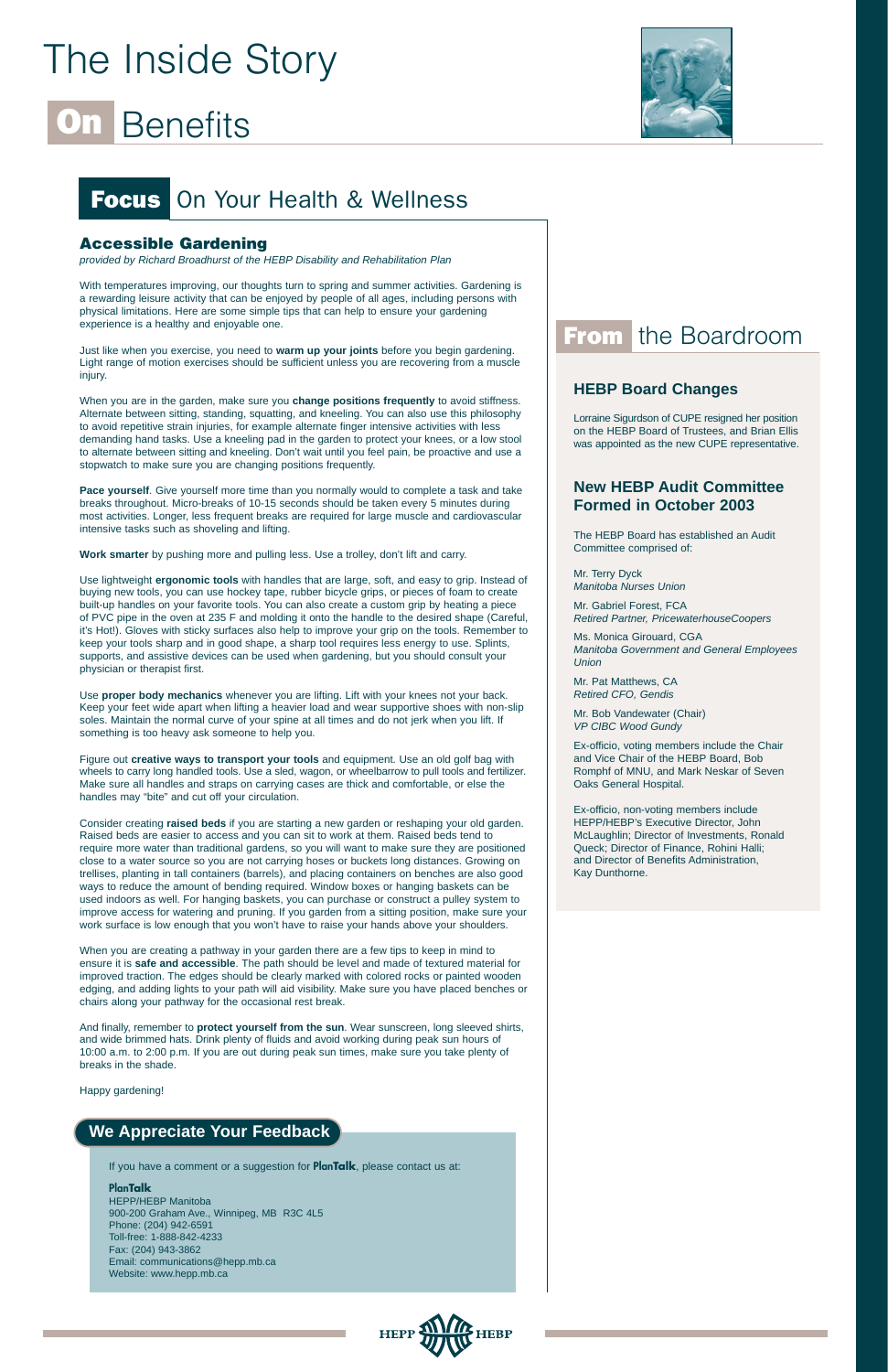# The Inside Story

# **Benefits**



### **Accessible Gardening**

provided by Richard Broadhurst of the HEBP Disability and Rehabilitation Plan

With temperatures improving, our thoughts turn to spring and summer activities. Gardening is a rewarding leisure activity that can be enjoyed by people of all ages, including persons with physical limitations. Here are some simple tips that can help to ensure your gardening experience is a healthy and enjoyable one.

Just like when you exercise, you need to **warm up your joints** before you begin gardening. Light range of motion exercises should be sufficient unless you are recovering from a muscle injury.

When you are in the garden, make sure you **change positions frequently** to avoid stiffness. Alternate between sitting, standing, squatting, and kneeling. You can also use this philosophy to avoid repetitive strain injuries, for example alternate finger intensive activities with less demanding hand tasks. Use a kneeling pad in the garden to protect your knees, or a low stool to alternate between sitting and kneeling. Don't wait until you feel pain, be proactive and use a stopwatch to make sure you are changing positions frequently.

**Pace yourself**. Give yourself more time than you normally would to complete a task and take breaks throughout. Micro-breaks of 10-15 seconds should be taken every 5 minutes during most activities. Longer, less frequent breaks are required for large muscle and cardiovascular intensive tasks such as shoveling and lifting.

**Work smarter** by pushing more and pulling less. Use a trolley, don't lift and carry.

Use lightweight **ergonomic tools** with handles that are large, soft, and easy to grip. Instead of buying new tools, you can use hockey tape, rubber bicycle grips, or pieces of foam to create built-up handles on your favorite tools. You can also create a custom grip by heating a piece of PVC pipe in the oven at 235 F and molding it onto the handle to the desired shape (Careful, it's Hot!). Gloves with sticky surfaces also help to improve your grip on the tools. Remember to keep your tools sharp and in good shape, a sharp tool requires less energy to use. Splints, supports, and assistive devices can be used when gardening, but you should consult your physician or therapist first.

Use **proper body mechanics** whenever you are lifting. Lift with your knees not your back. Keep your feet wide apart when lifting a heavier load and wear supportive shoes with non-slip soles. Maintain the normal curve of your spine at all times and do not jerk when you lift. If something is too heavy ask someone to help you.

Figure out **creative ways to transport your tools** and equipment. Use an old golf bag with wheels to carry long handled tools. Use a sled, wagon, or wheelbarrow to pull tools and fertilizer. Make sure all handles and straps on carrying cases are thick and comfortable, or else the handles may "bite" and cut off your circulation.

Consider creating **raised beds** if you are starting a new garden or reshaping your old garden. Raised beds are easier to access and you can sit to work at them. Raised beds tend to require more water than traditional gardens, so you will want to make sure they are positioned close to a water source so you are not carrying hoses or buckets long distances. Growing on trellises, planting in tall containers (barrels), and placing containers on benches are also good ways to reduce the amount of bending required. Window boxes or hanging baskets can be used indoors as well. For hanging baskets, you can purchase or construct a pulley system to improve access for watering and pruning. If you garden from a sitting position, make sure your work surface is low enough that you won't have to raise your hands above your shoulders.

When you are creating a pathway in your garden there are a few tips to keep in mind to ensure it is **safe and accessible**. The path should be level and made of textured material for improved traction. The edges should be clearly marked with colored rocks or painted wooden edging, and adding lights to your path will aid visibility. Make sure you have placed benches or chairs along your pathway for the occasional rest break.

# From the Boardroom

And finally, remember to **protect yourself from the sun**. Wear sunscreen, long sleeved shirts, and wide brimmed hats. Drink plenty of fluids and avoid working during peak sun hours of 10:00 a.m. to 2:00 p.m. If you are out during peak sun times, make sure you take plenty of breaks in the shade.

Happy gardening!

If you have a comment or a suggestion for **PlanTalk**, please contact us at:

#### **PlanTalk**

HEPP/HEBP Manitoba 900-200 Graham Ave., Winnipeg, MB R3C 4L5 Phone: (204) 942-6591 Toll-free: 1-888-842-4233 Fax: (204) 943-3862 Email: communications@hepp.mb.ca Website: www.hepp.mb.ca



# **We Appreciate Your Feedback**

# **HEBP Board Changes**

Lorraine Sigurdson of CUPE resigned her position on the HEBP Board of Trustees, and Brian Ellis was appointed as the new CUPE representative.

# **New HEBP Audit Committee Formed in October 2003**

The HEBP Board has established an Audit Committee comprised of:

Mr. Terry Dyck Manitoba Nurses Union

Mr. Gabriel Forest, FCA Retired Partner, PricewaterhouseCoopers

Ms. Monica Girouard, CGA Manitoba Government and General Employees Union

Mr. Pat Matthews, CA Retired CFO, Gendis

Mr. Bob Vandewater (Chair) VP CIBC Wood Gundy

Ex-officio, voting members include the Chair and Vice Chair of the HEBP Board, Bob Romphf of MNU, and Mark Neskar of Seven Oaks General Hospital.

Ex-officio, non-voting members include HEPP/HEBP's Executive Director, John McLaughlin; Director of Investments, Ronald Queck; Director of Finance, Rohini Halli; and Director of Benefits Administration, Kay Dunthorne.